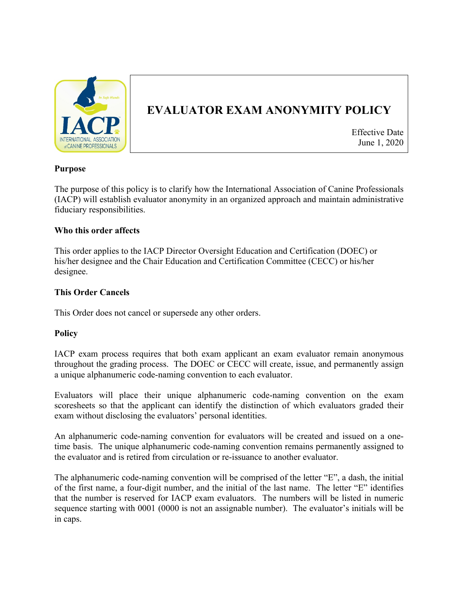

# **EVALUATOR EXAM ANONYMITY POLICY**

Effective Date June 1, 2020

## **Purpose**

The purpose of this policy is to clarify how the International Association of Canine Professionals (IACP) will establish evaluator anonymity in an organized approach and maintain administrative fiduciary responsibilities.

## **Who this order affects**

This order applies to the IACP Director Oversight Education and Certification (DOEC) or his/her designee and the Chair Education and Certification Committee (CECC) or his/her designee.

## **This Order Cancels**

This Order does not cancel or supersede any other orders.

### **Policy**

IACP exam process requires that both exam applicant an exam evaluator remain anonymous throughout the grading process. The DOEC or CECC will create, issue, and permanently assign a unique alphanumeric code-naming convention to each evaluator.

Evaluators will place their unique alphanumeric code-naming convention on the exam scoresheets so that the applicant can identify the distinction of which evaluators graded their exam without disclosing the evaluators' personal identities.

An alphanumeric code-naming convention for evaluators will be created and issued on a onetime basis. The unique alphanumeric code-naming convention remains permanently assigned to the evaluator and is retired from circulation or re-issuance to another evaluator.

The alphanumeric code-naming convention will be comprised of the letter "E", a dash, the initial of the first name, a four-digit number, and the initial of the last name. The letter "E" identifies that the number is reserved for IACP exam evaluators. The numbers will be listed in numeric sequence starting with 0001 (0000 is not an assignable number). The evaluator's initials will be in caps.